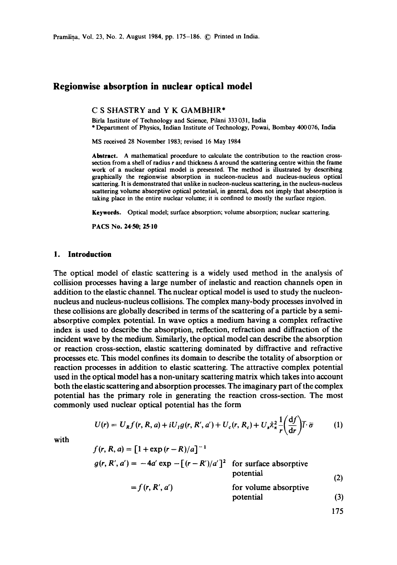Pramāna, Vol. 23, No. 2, August 1984, pp. 175-186. © Printed in India.

# **Regionwise absorption in nuclear optical model**

C S SHASTRY and Y K GAMBHIR\*

Birla Institute of Technology and Science, Pilani 333 031, India \* Department of Physics, Indian Institute of Technology, Powai, Bombay 400 076, India

MS received 28 November 1983; revised 16 May 1984

**Abstract.** A mathematical procedure to calculate the contribution to the reaction crosssection from a shell of radius  $r$  and thickness  $\Delta$  around the scattering centre within the frame work of a nuclear optical model is presented. The method is illustrated by describing graphically the regionwise absorption in nucleon-nucleus and nucleus-nucleus optical scattering. It is demonstrated that unlike in nucleon-nucleus scattering, in the nucleus-nucleus scattering volume absorptive optical potential, in general, does not imply that absorption is taking place in the entire nuclear volume; it is confined to mostly the surface region.

Keywords. Optical model; surface absorption; volume absorption; nuclear scattering.

**PACS No. 24-50; 25.10** 

#### **1. Introduction**

The optical model of elastic scattering is a widely used method in the analysis of collision processes having a large number of inelastic and reaction channels open in addition to the elastic channel. The nuclear optical model is used to study the nucleonnucleus and nucleus-nucleus collisions. The complex many-body processes involved in these collisions are globally described in terms of the scattering of a particle by a semiabsorptive complex potential. In wave optics a medium having a complex refractive index is used to describe the absorption, reflection, refraction and diffraction of the incident wave by the medium. Similarly, the optical model can describe the absorption or reaction cross-section, elastic scattering dominated by diffractive and refractive processes etc. This model confines its domain to describe the totality of absorption or reaction processes in addition to elastic scattering. The attractive complex potential used in the optical model has a non-unitary scattering matrix which takes into account both the elastic scattering and absorption processes. The imaginary part of the complex potential has the primary role in generating the reaction cross-section. The most commonly used nuclear optical potential has the form

$$
U(r) = U_R f(r, R, a) + iU_I g(r, R', a') + U_c(r, R_c) + U_s \lambda_x^2 \frac{1}{r} \left(\frac{df}{dr}\right) \overline{l} \cdot \overline{\sigma}
$$
 (1)

with

$$
f(r, R, a) = [1 + \exp(r - R)/a]^{-1}
$$
  
\n
$$
g(r, R', a') = -4a' \exp[-(r - R')/a']^{2}
$$
 for surface absorptive potential  
\n
$$
= f(r, R', a')
$$
 for volume absorptive potential  
\n
$$
= f(r, R', a')
$$
 (3)

175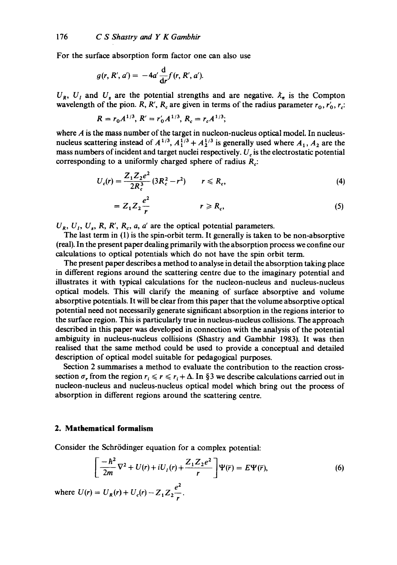For the surface absorption form factor one can also use

$$
g(r, R', a') = -4a'\frac{d}{dr}f(r, R', a').
$$

 $U_R$ ,  $U_I$  and  $U_s$  are the potential strengths and are negative.  $\lambda_{\pi}$  is the Compton wavelength of the pion. R, R', R<sub>c</sub> are given in terms of the radius parameter  $r_0, r'_0, r_c$ .

$$
R = r_0 A^{1/3}, R' = r'_0 A^{1/3}, R_c = r_c A^{1/3};
$$

where  $A$  is the mass number of the target in nucleon-nucleus optical model. In nucleusnucleus scattering instead of  $A^{1/3}$ ,  $A_1^{1/3} + A_2^{1/3}$  is generally used where  $A_1$ ,  $A_2$  are the mass numbers of incident and target nuclei respectively.  $U_{\epsilon}$  is the electrostatic potential corresponding to a uniformly charged sphere of radius  $R_{\odot}$ :

$$
U_c(r) = \frac{Z_1 Z_2 e^2}{2R_c^3} (3R_c^2 - r^2) \qquad r \le R_c,
$$
 (4)

$$
=Z_1Z_2\frac{e^2}{r} \qquad \qquad r\geq R_c,
$$
 (5)

 $U_R$ ,  $U_I$ ,  $U_s$ ,  $R$ ,  $R'$ ,  $R_c$ ,  $a$ ,  $a'$  are the optical potential parameters.

The last term in (1) is the spin-orbit term. It generally is taken to be non-absorptive (real). In the present paper dealing primarily with the absorption process we confine our calculations to optical potentials which do not have the spin orbit term.

The present paper describes a method to analyse in detail the absorption taking place in different regions around the scattering centre due to the imaginary potential and illustrates it with typical calculations for the nucleon-nucleus and nucleus-nucleus optical models. This will clarify the meaning of surface absorptive and volume absorptive potentials. It will be clear from this paper that the volume absorptive optical potential need not necessarily generate significant absorption in the regions interior to the surface region. This is particularly true in nucleus-nucleus collisions. The approach described in this paper was developed in connection with the analysis of the potential ambiguity in nucleus-nucleus collisions (Shastry and Gambhir 1983). It was then realised that the same method could be used to provide a conceptual and detailed description of optical model suitable for pedagogical purposes.

Section 2 summarises a method to evaluate the contribution to the reaction crosssection  $\sigma_r$  from the region  $r_i \le r \le r_i + \Delta$ . In §3 we describe calculations carried out in nucleon-nucleus and nucleus-nucleus optical model which bring out the process of absorption in different regions around the scattering centre.

### **2. Mathematical formalism**

Consider the Schrödinger equation for a complex potential:

$$
\left[\frac{-\hbar^2}{2m}\nabla^2 + U(r) + iU_t(r) + \frac{Z_1 Z_2 e^2}{r}\right]\Psi(\overline{r}) = E\Psi(\overline{r}),\tag{6}
$$

where  $U(r) = U_R(r) + U_c(r) - Z_1 Z_2 \frac{e^2}{r}$ .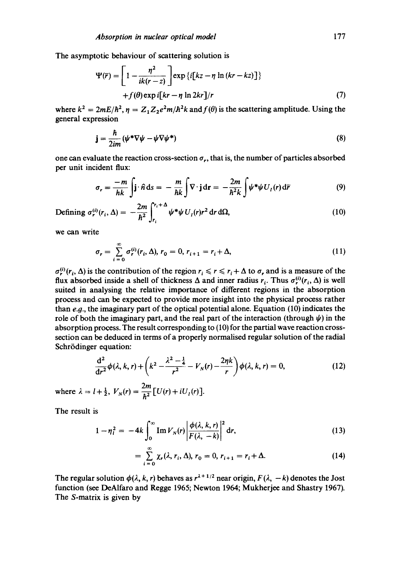The asymptotic behaviour of scattering solution is

$$
\Psi(\overline{r}) = \left[1 - \frac{\eta^2}{ik(r - z)}\right] \exp\left\{i[kz - \eta \ln(kr - kz)]\right\}
$$
  
+ $f(\theta) \exp i[kr - \eta \ln 2kr]/r$  (7)

where  $k^2 = 2mE/\hbar^2$ ,  $\eta = Z_1 Z_2 e^2 m/\hbar^2 k$  and  $f(\theta)$  is the scattering amplitude. Using the general expression

$$
\mathbf{j} = \frac{\hbar}{2im} (\psi^* \nabla \psi - \psi \nabla \psi^*)
$$
 (8)

one can evaluate the reaction cross-section  $\sigma_r$ , that is, the number of particles absorbed per unit incident flux:

$$
\sigma_r = \frac{-m}{hk} \int \mathbf{j} \cdot \hat{n} \, \mathrm{d}s = -\frac{m}{hk} \int \nabla \cdot \mathbf{j} \, \mathrm{d}\mathbf{r} = -\frac{2m}{h^2 k} \int \psi^* \psi U_I(r) \, \mathrm{d}\overline{r}
$$
(9)

$$
\text{Defining }\sigma_r^{(i)}(r_i,\Delta) = -\frac{2m}{\hbar^2} \int_{r_i}^{r_i+\Delta} \psi^* \psi \, U_i(r) r^2 \, \mathrm{d}r \, \mathrm{d}\Omega,\tag{10}
$$

we can write

$$
\sigma_r = \sum_{i=0}^{\infty} \sigma_r^{(i)}(r_i, \Delta), r_0 = 0, r_{i+1} = r_i + \Delta,
$$
\n(11)

 $\sigma_r^{(i)}(r_i, \Delta)$  is the contribution of the region  $r_i \le r \le r_i + \Delta$  to  $\sigma_r$ , and is a measure of the flux absorbed inside a shell of thickness  $\Delta$  and inner radius  $r_i$ . Thus  $\sigma_r^{(i)}(r_i, \Delta)$  is well suited in analysing the relative importance of different regions in the absorption process and can be expected to provide more insight into the physical process rather than  $e.g.,$  the imaginary part of the optical potential alone. Equation (10) indicates the role of both the imaginary part, and the real part of the interaction (through  $\psi$ ) in the absorption process. The result corresponding to (10) for the partial wave reaction crosssection can be deduced in terms of a properly normalised regular solution of the radial Schrödinger equation:

$$
\frac{d^2}{dr^2}\phi(\lambda, k, r) + \left(k^2 - \frac{\lambda^2 - \frac{1}{4}}{r^2} - V_N(r) - \frac{2\eta k}{r}\right)\phi(\lambda, k, r) = 0,
$$
\n(12)

where  $\lambda = l + \frac{1}{2}$ ,  $V_N(r) = \frac{2m}{\hbar^2} [U(r) + iU_I(r)].$ 

The result is

$$
1 - \eta_t^2 = -4k \int_0^\infty \operatorname{Im} V_N(r) \left| \frac{\phi(\lambda, k, r)}{F(\lambda, -k)} \right|^2 dr, \tag{13}
$$

$$
= \sum_{i=0}^{\infty} \chi_r(\lambda, r_i, \Delta), r_0 = 0, r_{i+1} = r_i + \Delta.
$$
 (14)

The regular solution  $\phi(\lambda, k, r)$  behaves as  $r^{\lambda+1/2}$  near origin,  $F(\lambda, -k)$  denotes the Jost function (see DeAlfaro and Regge 1965; Newton 1964; Mukherjee and Shastry 1967). The S-matrix is given by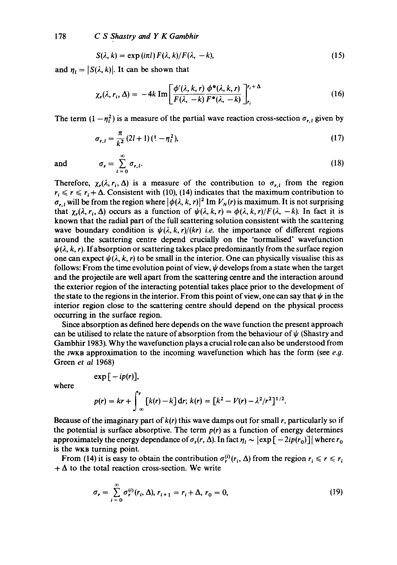$$
S(\lambda, k) = \exp(i\pi l) F(\lambda, k) / F(\lambda, -k), \qquad (15)
$$

and  $\eta_i = |S(\lambda, k)|$ . It can be shown that

$$
\chi_r(\lambda, r_i, \Delta) = -4k \operatorname{Im} \left[ \frac{\phi'(\lambda, k, r)}{F(\lambda, -k)} \frac{\phi^*(\lambda, k, r)}{F^*(\lambda, -k)} \right]_{r_i}^{r_i + \Delta} \tag{16}
$$

The term  $(1 - \eta_i^2)$  is a measure of the partial wave reaction cross-section  $\sigma_{r,i}$  given by

$$
\sigma_{r,l} = \frac{\pi}{k^2} (2l+1) \left( 1 - \eta_l^2 \right),\tag{17}
$$

and  $\sigma_r = \sum \sigma_{r,l}$ . (18)  $l=0$ 

Therefore,  $\chi_r(\lambda, r_i, \Delta)$  is a measure of the contribution to  $\sigma_{r,i}$  from the region  $r_i \le r \le r_i + \Delta$ . Consistent with (10), (14) indicates that the maximum contribution to  $\sigma_{r, l}$  will be from the region where  $|\phi(\lambda, k, r)|^2 \text{Im } V_N(r)$  is maximum. It is not surprising that  $\chi_r(\lambda, r_i, \Delta)$  occurs as a function of  $\psi(\lambda, k, r) = \phi(\lambda, k, r)/F(\lambda, -k)$ . In fact it is known that the radial part of the full scattering solution consistent with the scattering wave boundary condition is  $\psi(\lambda, k, r)/(kr)$  *i.e.* the importance of different regions around the scattering centre depend crucially on the 'normalised' wavefunction  $\psi(\lambda, k, r)$ . If absorption or scattering takes place predominantly from the surface region one can expect  $\psi(\lambda, k, r)$  to be small in the interior. One can physically visualise this as follows: From the time evolution point of view,  $\psi$  develops from a state when the target and the projectile are well apart from the scattering centre and the interaction around the exterior region of the interacting potential takes place prior to the development of the state to the regions in the interior. From this point of view, one can say that  $\psi$  in the interior region close to the scattering centre should depend on the physical process occurring in the surface region.

Since absorption as defined here depends on the wave function the present approach can be utilised to relate the nature of absorption from the behaviour of  $\psi$  (Shastry and Gambhir 1983). Why the wavefunction plays a crucial role can also be understood from the  $JWKB$  approximation to the incoming wavefunction which has the form (see e.g. Green *et al* 1968)

 $\exp[-ip(r)],$ 

where

$$
p(r) = kr + \int_{-\infty}^{r} [k(r) - k] dr; k(r) = [k^2 - V(r) - \lambda^2/r^2]^{1/2}.
$$

Because of the imaginary part of  $k(r)$  this wave damps out for small r, particularly so if the potential is surface absorptive. The term  $p(r)$  as a function of energy determines approximately the energy dependance of  $\sigma_r(r, \Delta)$ . In fact  $\eta_i \sim |\exp[-2ip(r_0)]|$  where  $r_0$ is the WKB turning point.

From (14) it is easy to obtain the contribution  $\sigma_r^{(i)}(r_i, \Delta)$  from the region  $r_i \le r \le r_i$  $+\Delta$  to the total reaction cross-section. We write

$$
\sigma_r = \sum_{i=0}^{\infty} \sigma_r^{(i)}(r_i, \Delta), r_{i+1} = r_i + \Delta, r_0 = 0,
$$
\n(19)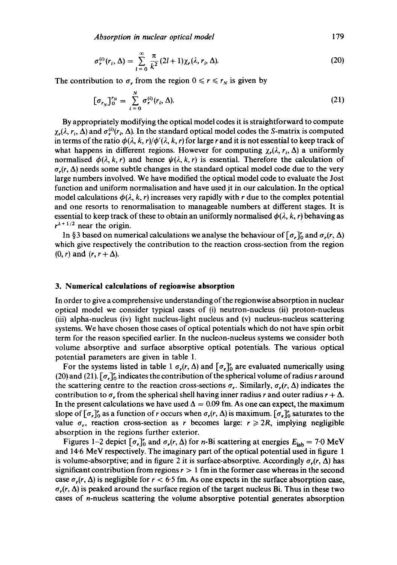$$
\sigma_r^{(i)}(r_i, \Delta) = \sum_{l=0}^{\infty} \frac{\pi}{k^2} (2l+1) \chi_r(\lambda, r_i, \Delta).
$$
 (20)

The contribution to  $\sigma_r$  from the region  $0 \le r \le r_N$  is given by

$$
[\sigma_{r_N}]_0^{r_N} = \sum_{i=0}^N \sigma_r^{(i)}(r_i, \Delta). \tag{21}
$$

By appropriately modifying the optical model codes it is straightforward to compute  $\chi_r(\lambda, r_i, \Delta)$  and  $\sigma_r^{(i)}(r_i, \Delta)$ . In the standard optical model codes the S-matrix is computed in terms of the ratio  $\phi(\lambda, k, r)/\phi'(\lambda, k, r)$  for large r and it is not essential to keep track of what happens in different regions. However for computing  $\chi_r(\lambda, r_i, \Delta)$  a uniformly normalised  $\phi(\lambda, k, r)$  and hence  $\psi(\lambda, k, r)$  is essential. Therefore the calculation of  $\sigma_r(r, \Delta)$  needs some subtle changes in the standard optical model code due to the very large numbers involved. We have modified the optical model code to evaluate the Jost function and uniform normalisation and have used it in our calculation. In the optical model calculations  $\phi(\lambda, k, r)$  increases very rapidly with r due to the complex potential and one resorts to renormalisation to manageable numbers at different stages. It is essential to keep track of these to obtain an uniformly normalised  $\phi(\lambda, k, r)$  behaving as  $r^{\lambda+1/2}$  near the origin.

In §3 based on numerical calculations we analyse the behaviour of  $\lceil \sigma_r \rceil$  and  $\sigma_r(r, \Delta)$ which give respectively the contribution to the reaction cross-section from the region  $(0, r)$  and  $(r, r + \Delta)$ .

#### **3. Numerical calculations of regionwise absorption**

In order to give a comprehensive understanding of the regionwise absorption in nuclear optical model we consider typical cases of (i) neutron-nucleus (ii) proton-nucleus (iii) alpha-nucleus (iv) light nucleus-light nucleus and (v) nucleus-nucleus scattering systems. We have chosen those cases of optical potentials which do not have spin orbit term for the reason specified earlier. In the nucleon-nucleus systems we consider both volume absorptive and surface absorptive optical potentials. The various optical potential parameters are given in table 1.

For the systems listed in table 1  $\sigma_r(r, \Delta)$  and  $[\sigma_r]_0^r$  are evaluated numerically using (20) and (21).  $[\sigma_r]_0^r$  indicates the contribution of the spherical volume of radius r around the scattering centre to the reaction cross-sections  $\sigma_r$ . Similarly,  $\sigma_r(r, \Delta)$  indicates the contribution to  $\sigma_r$  from the spherical shell having inner radius r and outer radius  $r + \Delta$ . In the present calculations we have used  $\Delta = 0.09$  fm. As one can expect, the maximum slope of  $[\sigma_{r}]_{0}^{r}$  as a function of r occurs when  $\sigma_{r}(r, \Delta)$  is maximum.  $[\sigma_{r}]_{0}^{r}$  saturates to the value  $\sigma_r$ , reaction cross-section as r becomes large:  $r \ge 2R$ , implying negligible absorption in the regions further exterior.

Figures 1–2 depict  $[\sigma_r]_0^r$  and  $\sigma_r(r, \Delta)$  for *n*-Bi scattering at energies  $E_{\text{lab}} = 7.0 \text{ MeV}$ and 14.6 MeV respectively. The imaginary part of the optical potential used in figure 1 is volume-absorptive; and in figure 2 it is surface-absorptive. Accordingly  $\sigma_r(r, \Delta)$  has significant contribution from regions  $r > 1$  fm in the former case whereas in the second case  $\sigma_r(r, \Delta)$  is negligible for  $r < 6.5$  fm. As one expects in the surface absorption case,  $\sigma_r(r, \Delta)$  is peaked around the surface region of the target nucleus Bi. Thus in these two cases of n-nucleus scattering the volume absorptive potential generates absorption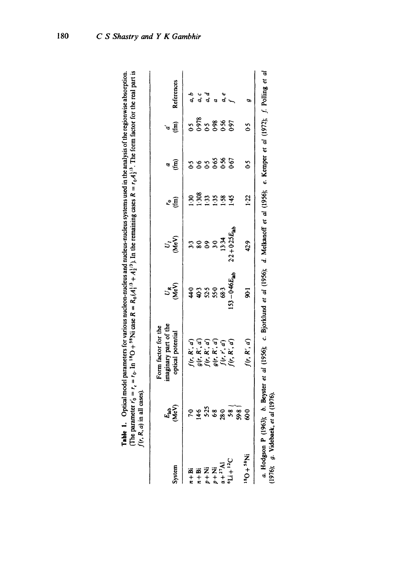| $(1,9)$ . In the remaining cases $R = r_0 A_2^{1/3}$ . The form factor for the real part is<br><b>Treis of The</b><br>stems used in the analysi<br>The parameter $r'_0 = r_0$ . In ${}^{16}O + {}^{58}Ni$ case $R = R_0(A_1^1 {}^{16} + A_2^1 {}^{16} + A_3^1 {}^{16} )$<br>me tom user.<br>È<br>Table 1. Optical model parameter |  |
|-----------------------------------------------------------------------------------------------------------------------------------------------------------------------------------------------------------------------------------------------------------------------------------------------------------------------------------|--|
| $f(r, R, a)$ in all cases)                                                                                                                                                                                                                                                                                                        |  |

| System                                   | (MeV<br>$E_{\rm lab}$                               | imaginary part of the<br>Form factor for the<br>optical potential                                                          | ్ర<br>⊗ల్           | U.<br>Ser               | 空                     | a Ê                           | $\sigma$               | References  |
|------------------------------------------|-----------------------------------------------------|----------------------------------------------------------------------------------------------------------------------------|---------------------|-------------------------|-----------------------|-------------------------------|------------------------|-------------|
| $n + Bi$                                 |                                                     |                                                                                                                            |                     |                         |                       |                               |                        | d, b        |
| $n + Bi$                                 | ဝ ဖ ဂို အ <u>ဝ</u> အ<br>r <del>၂</del> က် စိ ဆို ကိ |                                                                                                                            | 4 \$ 3 3 \$ \$      | n 889 A<br>888 A A      | <u>ទី ទី ទី ទី ទី</u> | s<br>s s s s s s<br>s s s s s | 5<br>6558865<br>655865 |             |
| $\sum_{p+1}^{n}$                         |                                                     |                                                                                                                            |                     |                         |                       |                               |                        | a<br>a<br>a |
|                                          |                                                     |                                                                                                                            |                     |                         |                       |                               |                        |             |
|                                          |                                                     |                                                                                                                            |                     |                         |                       |                               |                        | a, e        |
| $a + {}^{27}Al$<br>${}^{6}Li + {}^{12}C$ |                                                     | $f(r, R', a')$<br>$g(r, R', a')$<br>$f(r, R', a')$<br>$g(r, R', a')$<br>$f(r, r', a')$                                     | $153 - 0.46E_{1.1}$ | $2.2 + 0.25E_{\rm lab}$ | 145                   |                               |                        |             |
| $N_{85}$ + $O_8$                         | 59.8<br>$\infty$                                    | f(r, R', a')                                                                                                               | $\overline{5}$      | 42.9                    | 1:22                  | š                             | $\mathfrak{S}$         | Φ           |
| a. Hodgson P (1963,                      |                                                     | ); b. Beyster et al (1956); c. Bjorklund et al (1956); d. Melkanoff et al (1956); e. Kemper et al (1972); f. Polling et al |                     |                         |                       |                               |                        |             |

(1976); g. Videbaek, et al (1976). (1976); g. Videbaek, *et al* (1976).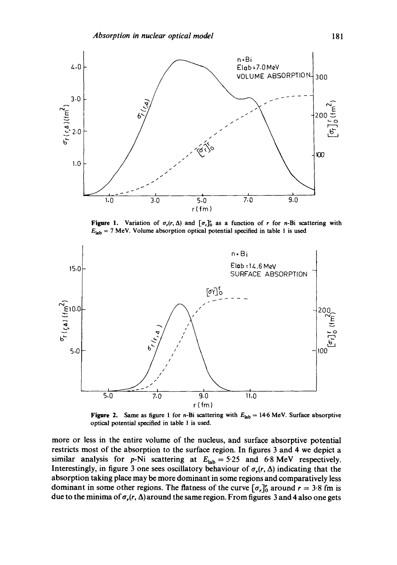

**Figure 1.** Variation of  $\sigma_r(r, \Delta)$  and  $[\sigma_r]_0^r$  as a function of r for n-Bi scattering with  $E_{lab} = 7$  MeV. Volume absorption optical potential specified in table 1 is used



**Figure 2.** Same as figure 1 for *n*-Bi scattering with  $E_{lab} = 14.6$  MeV. Surface absorptive optical potential specified in table 1 is used.

more or less in the entire volume of the nucleus, and surface absorptive potential restricts most of the absorption to the surface region. In figures 3 and 4 we depict a similar analysis for p-Ni scattering at  $E_{\text{lab}} = 5.25$  and 6.8 MeV respectively. Interestingly, in figure 3 one sees oscillatory behaviour of  $\sigma_r(r, \Delta)$  indicating that the absorption taking place may be more dominant in some regions and comparatively less dominant in some other regions. The flatness of the curve  $[\sigma_r]_0^r$  around  $r = 3.8$  fm is due to the minima of  $\sigma_r(r, \Delta)$  around the same region. From figures 3 and 4 also one gets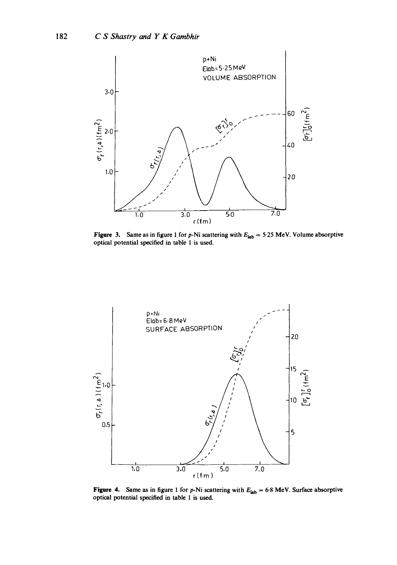

**Figure 3.** Same as in figure 1 for p-Ni scattering with  $E_{lab} = 5.25$  MeV. Volume absorptive **optical potential specified in table 1 is used.** 



**Figure 4.** Same as in figure 1 for p-Ni scattering with  $E_{lab} = 6.8$  MeV. Surface absorptive **optical potential specified in table 1 is used.**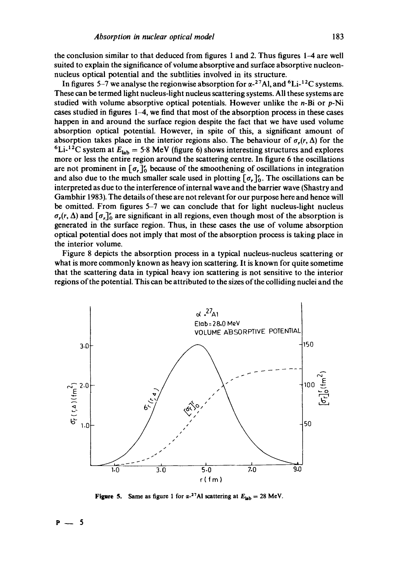the conclusion similar to that deduced from figures 1 and 2. Thus figures 1-4 are well suited to explain the significance of volume absorptive and surface absorptive nucleonnucleus optical potential and the subtlities involved in its structure.

In figures 5-7 we analyse the regionwise absorption for  $\alpha^{-27}$ Al, and <sup>6</sup>Li-<sup>12</sup>C systems. These can be termed light nucleus-light nucleus scattering systems. All these systems are studied with volume absorptive optical potentials. However unlike the  $n-Bi$  or  $p-Ni$ cases studied in figures  $1-4$ , we find that most of the absorption process in these cases happen in and around the surface region despite the fact that we have used volume absorption optical potential. However, in spite of this, a significant amount of absorption takes place in the interior regions also. The behaviour of  $\sigma_r(r, \Delta)$  for the <sup>6</sup>Li-<sup>12</sup>C system at  $E_{lab} = 5.8$  MeV (figure 6) shows interesting structures and explores more or less the entire region around the scattering centre. In figure 6 the oscillations are not prominent in  $[\sigma_{r}]_{0}^{r}$  because of the smoothening of oscillations in integration and also due to the much smaller scale used in plotting  $[\sigma_r]'_0$ . The oscillations can be interpreted as due to the interference of internal wave and the barrier wave (Shastry and Gambhir 1983). The details of these are not relevant for our purpose here and hence will be omitted. From figures 5-7 we can conclude that for light nucleus-light nucleus  $\sigma_r(r, \Delta)$  and  $[\sigma_r]_0^r$  are significant in all regions, even though most of the absorption is generated in the surface region. Thus, in these cases the use of volume absorption optical potential does not imply that most of the absorption process is taking place in the interior volume.

Figure 8 depicts the absorption process in a typical nucleus-nucleus scattering or what is more commonly known as heavy ion scattering. It is known for quite sometime that the scattering data in typical heavy ion scattering is not sensitive to the interior regions of the potential. This can be attributed to the sizes of the colliding nuclei and the



**Figure 5.** Same as figure 1 for  $\alpha$ -<sup>27</sup>Al scattering at  $E_{lab} = 28$  MeV.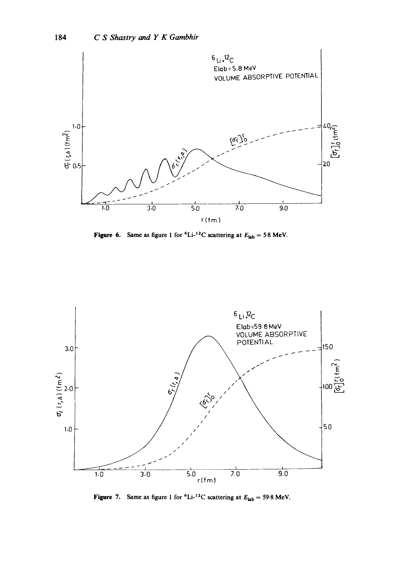

**Figure 6.** Same as figure 1 for  ${}^6\text{Li-}{}^{12}\text{C}$  scattering at  $E_{\text{lab}} = 5.8$  MeV.



Figure 7. Same as figure 1 for  ${}^{6}Li^{-12}C$  scattering at  $E_{lab} = 59.8$  MeV.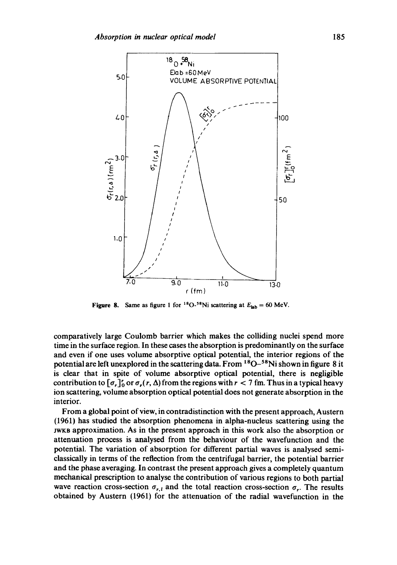

Figure 8. Same as figure 1 for <sup>18</sup>O-<sup>58</sup>Ni scattering at  $E_{lab} = 60$  MeV.

comparatively large Coulomb barrier which makes the colliding nuclei spend more time in the surface region. In these cases the absorption is predominantly on the surface and even if one uses volume absorptive optical potential, the interior regions of the potential are left unexplored in the scattering data. From <sup>18</sup>O-<sup>58</sup>Ni shown in figure 8 it is clear that in spite of volume absorptive optical potential, there is negligible contribution to  $[\sigma, \gamma]_0^r$  or  $\sigma_r(r, \Delta)$  from the regions with  $r < 7$  fm. Thus in a typical heavy ion scattering, volume absorption optical potential does not generate absorption in the interior.

From a global point of view, in contradistinction with the present approach, Austern (1961) has studied the absorption phenomena in alpha-nucleus scattering using the JWKB approximation. As in the present approach in this work also the absorption or attenuation process is analysed from the behaviour of the wavefunction and the potential. The variation of absorption for different partial waves is analysed semiclassically in terms of the reflection from the centrifugal barrier, the potential barrier and the phase averaging. In contrast the present approach gives a completely quantum mechanical prescription to analyse the contribution of various regions to both partial wave reaction cross-section  $\sigma_{r,t}$  and the total reaction cross-section  $\sigma_r$ . The results obtained by Austern (1961) for the attenuation of the radial wavefunction in the